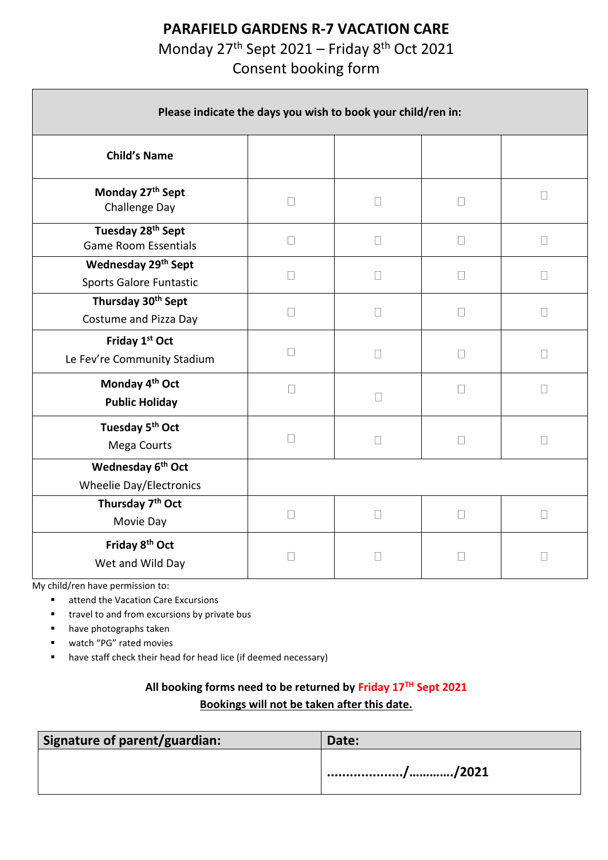## **PARAFIELD GARDENS R-7 VACATION CARE**

Monday 27<sup>th</sup> Sept 2021 – Friday 8<sup>th</sup> Oct 2021

Consent booking form

| Please indicate the days you wish to book your child/ren in:    |        |        |              |        |  |
|-----------------------------------------------------------------|--------|--------|--------------|--------|--|
| <b>Child's Name</b>                                             |        |        |              |        |  |
| Monday 27th Sept<br>Challenge Day                               | $\Box$ | $\Box$ | П            | $\Box$ |  |
| Tuesday 28 <sup>th</sup> Sept<br><b>Game Room Essentials</b>    | $\Box$ | $\Box$ | $\Box$       | П      |  |
| Wednesday 29th Sept<br>Sports Galore Funtastic                  | П      | $\Box$ | $\mathbf{L}$ | П      |  |
| Thursday 30 <sup>th</sup> Sept<br>Costume and Pizza Day         | $\Box$ | $\Box$ | $\Box$       | $\Box$ |  |
| Friday 1st Oct<br>Le Fev're Community Stadium                   | $\Box$ | $\Box$ | $\Box$       | $\Box$ |  |
| Monday 4 <sup>th</sup> Oct<br><b>Public Holiday</b>             | $\Box$ | $\Box$ | $\Box$       | $\Box$ |  |
| Tuesday 5 <sup>th</sup> Oct<br>Mega Courts                      | $\Box$ | $\Box$ | $\Box$       | $\Box$ |  |
| Wednesday 6 <sup>th</sup> Oct<br><b>Wheelie Day/Electronics</b> |        |        |              |        |  |
| Thursday 7 <sup>th</sup> Oct<br>Movie Day                       | $\Box$ | $\Box$ | Ш            | П      |  |
| Friday 8 <sup>th</sup> Oct<br>Wet and Wild Day                  | П      | $\Box$ | Ш            | $\Box$ |  |

My child/ren have permission to:

■ attend the Vacation Care Excursions

travel to and from excursions by private bus

- have photographs taken
- watch "PG" rated movies
- have staff check their head for head lice (if deemed necessary)

## **All booking forms need to be returned by Friday 17TH Sept 2021 Bookings will not be taken after this date.**

| Signature of parent/guardian: | Date: |
|-------------------------------|-------|
|                               |       |